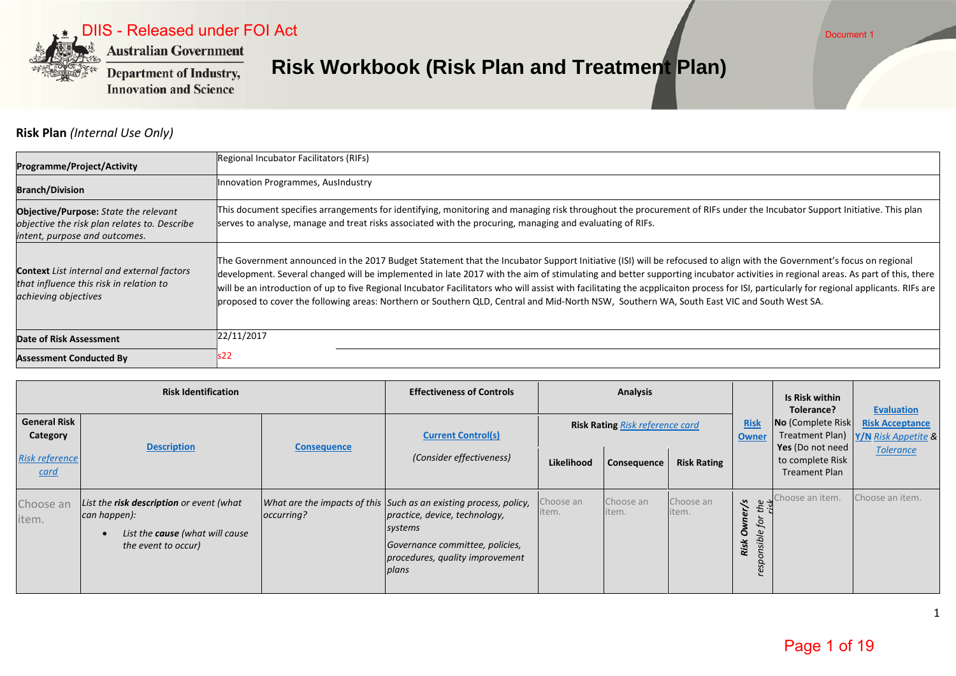

DIIS - Released under FOI Act

**Department of Industry, Innovation and Science** 

# **Risk Workbook (Risk Plan and Treatment Plan)**

**Risk Plan** *(Internal Use Only)*

| <b>Programme/Project/Activity</b>                                                                                             | Regional Incubator Facilitators (RIFs)                                                                                                                                                                                                                                                                                                                                                                                                                                                                                                                                                                                                                                                           |
|-------------------------------------------------------------------------------------------------------------------------------|--------------------------------------------------------------------------------------------------------------------------------------------------------------------------------------------------------------------------------------------------------------------------------------------------------------------------------------------------------------------------------------------------------------------------------------------------------------------------------------------------------------------------------------------------------------------------------------------------------------------------------------------------------------------------------------------------|
| <b>Branch/Division</b>                                                                                                        | Innovation Programmes, AusIndustry                                                                                                                                                                                                                                                                                                                                                                                                                                                                                                                                                                                                                                                               |
| <b>Objective/Purpose:</b> State the relevant<br>objective the risk plan relates to. Describe<br>intent, purpose and outcomes. | This document specifies arrangements for identifying, monitoring and managing risk throughout the procurement of RIFs under the Incubator Support Initiative. This plan<br>serves to analyse, manage and treat risks associated with the procuring, managing and evaluating of RIFs.                                                                                                                                                                                                                                                                                                                                                                                                             |
| <b>Context</b> List internal and external factors<br>that influence this risk in relation to<br>achieving objectives          | The Government announced in the 2017 Budget Statement that the Incubator Support Initiative (ISI) will be refocused to align with the Government's focus on regional<br>development. Several changed will be implemented in late 2017 with the aim of stimulating and better supporting incubator activities in regional areas. As part of this, there<br>will be an introduction of up to five Regional Incubator Facilitators who will assist with facilitating the acpplicaiton process for ISI, particularly for regional applicants. RIFs are<br>proposed to cover the following areas: Northern or Southern QLD, Central and Mid-North NSW, Southern WA, South East VIC and South West SA. |
| <b>Date of Risk Assessment</b>                                                                                                | 22/11/2017                                                                                                                                                                                                                                                                                                                                                                                                                                                                                                                                                                                                                                                                                       |
| <b>Assessment Conducted By</b>                                                                                                | s22                                                                                                                                                                                                                                                                                                                                                                                                                                                                                                                                                                                                                                                                                              |

|                                      | <b>Risk Identification</b>                                                                                         |                    | <b>Effectiveness of Controls</b>                                                                                                                                                             |                    | <b>Analysis</b>                        |                    |                                                               | Is Risk within<br>Tolerance?                             | <b>Evaluation</b>                             |
|--------------------------------------|--------------------------------------------------------------------------------------------------------------------|--------------------|----------------------------------------------------------------------------------------------------------------------------------------------------------------------------------------------|--------------------|----------------------------------------|--------------------|---------------------------------------------------------------|----------------------------------------------------------|-----------------------------------------------|
| <b>General Risk</b><br>Category      | <b>Description</b>                                                                                                 | <b>Consequence</b> | <b>Current Control(s)</b>                                                                                                                                                                    |                    | <b>Risk Rating Risk reference card</b> |                    | <b>Risk</b><br><b>Owner</b>                                   | No (Complete Risk<br>Treatment Plan)<br>Yes (Do not need | <b>Risk Acceptance</b><br>Y/N Risk Appetite & |
| <b>Risk reference</b><br><u>card</u> |                                                                                                                    |                    | (Consider effectiveness)                                                                                                                                                                     | Likelihood         | Consequence                            | <b>Risk Rating</b> |                                                               | to complete Risk<br><b>Treament Plan</b>                 | <b>Tolerance</b>                              |
| Choose an<br>item.                   | List the risk description or event (what<br>can happen):<br>List the cause (what will cause<br>the event to occur) | occurring?         | What are the impacts of this Such as an existing process, policy,<br>practice, device, technology,<br>systems<br>Governance committee, policies,<br>procedures, quality improvement<br>plans | choose an<br>item. | Choose an<br>item.                     | Choose an<br>item. | $\sim$ $\sim$<br>ς.<br>ërj<br>for<br>responsible<br>O<br>Risk | Choose an item.                                          | Choose an item.                               |

1

Document 1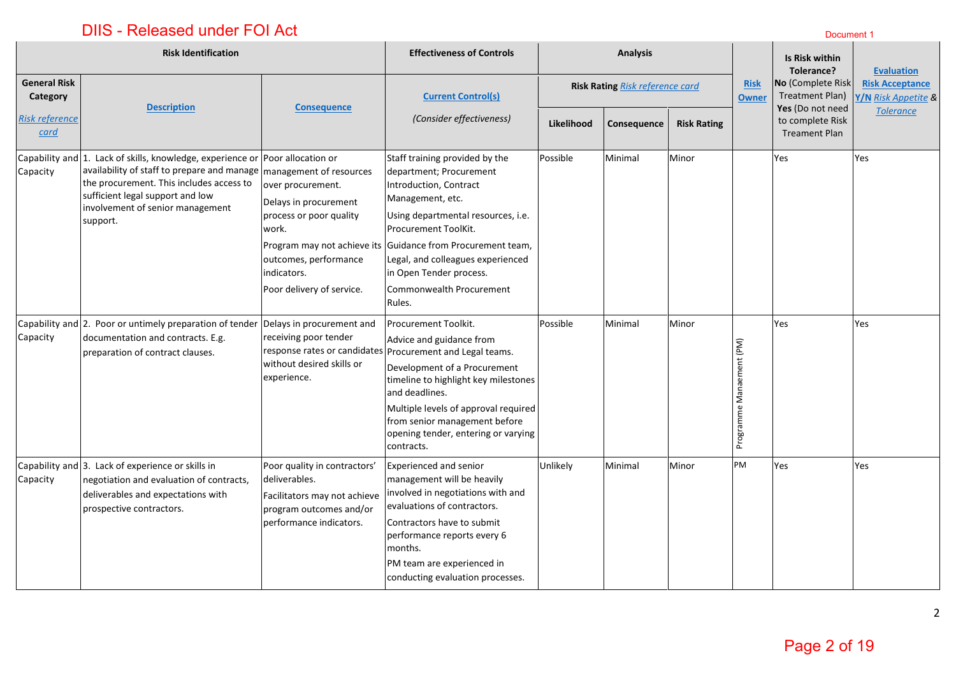|                                 | <b>Risk Identification</b>                                                                                                                                                                                                                                                           |                                                                                                                                                     | <b>Effectiveness of Controls</b>                                                                                                                                                                                                                                                                                                           | <b>Analysis</b> |                                 |                    |                             | Is Risk within<br>Tolerance?                             | <b>Evaluation</b>                             |
|---------------------------------|--------------------------------------------------------------------------------------------------------------------------------------------------------------------------------------------------------------------------------------------------------------------------------------|-----------------------------------------------------------------------------------------------------------------------------------------------------|--------------------------------------------------------------------------------------------------------------------------------------------------------------------------------------------------------------------------------------------------------------------------------------------------------------------------------------------|-----------------|---------------------------------|--------------------|-----------------------------|----------------------------------------------------------|-----------------------------------------------|
| <b>General Risk</b><br>Category | <b>Description</b>                                                                                                                                                                                                                                                                   | <b>Consequence</b>                                                                                                                                  | <b>Current Control(s)</b>                                                                                                                                                                                                                                                                                                                  |                 | Risk Rating Risk reference card |                    | <b>Risk</b><br><b>Owner</b> | No (Complete Risk<br>Treatment Plan)<br>Yes (Do not need | <b>Risk Acceptance</b><br>Y/N Risk Appetite & |
| <b>Risk reference</b><br>card   |                                                                                                                                                                                                                                                                                      |                                                                                                                                                     | (Consider effectiveness)                                                                                                                                                                                                                                                                                                                   | Likelihood      | Consequence                     | <b>Risk Rating</b> |                             | to complete Risk<br><b>Treament Plan</b>                 | <b>Tolerance</b>                              |
| Capacity                        | Capability and 1. Lack of skills, knowledge, experience or Poor allocation or<br>availability of staff to prepare and manage management of resources<br>the procurement. This includes access to<br>sufficient legal support and low<br>involvement of senior management<br>support. | over procurement.<br>Delays in procurement<br>process or poor quality<br>work.<br>outcomes, performance<br>indicators.<br>Poor delivery of service. | Staff training provided by the<br>department; Procurement<br>Introduction, Contract<br>Management, etc.<br>Using departmental resources, i.e.<br>Procurement ToolKit.<br>Program may not achieve its Guidance from Procurement team,<br>Legal, and colleagues experienced<br>in Open Tender process.<br>Commonwealth Procurement<br>Rules. | Possible        | Minimal                         | Minor              |                             | Yes                                                      | Yes                                           |
| Capacity                        | Capability and 2. Poor or untimely preparation of tender Delays in procurement and<br>documentation and contracts. E.g.<br>preparation of contract clauses.                                                                                                                          | receiving poor tender<br>without desired skills or<br>experience.                                                                                   | Procurement Toolkit.<br>Advice and guidance from<br>response rates or candidates Procurement and Legal teams.<br>Development of a Procurement<br>timeline to highlight key milestones<br>and deadlines.<br>Multiple levels of approval required<br>from senior management before<br>opening tender, entering or varying<br>contracts.      | Possible        | Minimal                         | Minor              | Programme Manaement (PM)    | Yes                                                      | Yes                                           |
| Capacity                        | Capability and 3. Lack of experience or skills in<br>negotiation and evaluation of contracts,<br>deliverables and expectations with<br>prospective contractors.                                                                                                                      | Poor quality in contractors'<br>deliverables.<br>Facilitators may not achieve<br>program outcomes and/or<br>performance indicators.                 | <b>Experienced and senior</b><br>management will be heavily<br>involved in negotiations with and<br>evaluations of contractors.<br>Contractors have to submit<br>performance reports every 6<br>months.<br>PM team are experienced in<br>conducting evaluation processes.                                                                  | Unlikely        | Minimal                         | Minor              | PM                          | Yes                                                      | Yes                                           |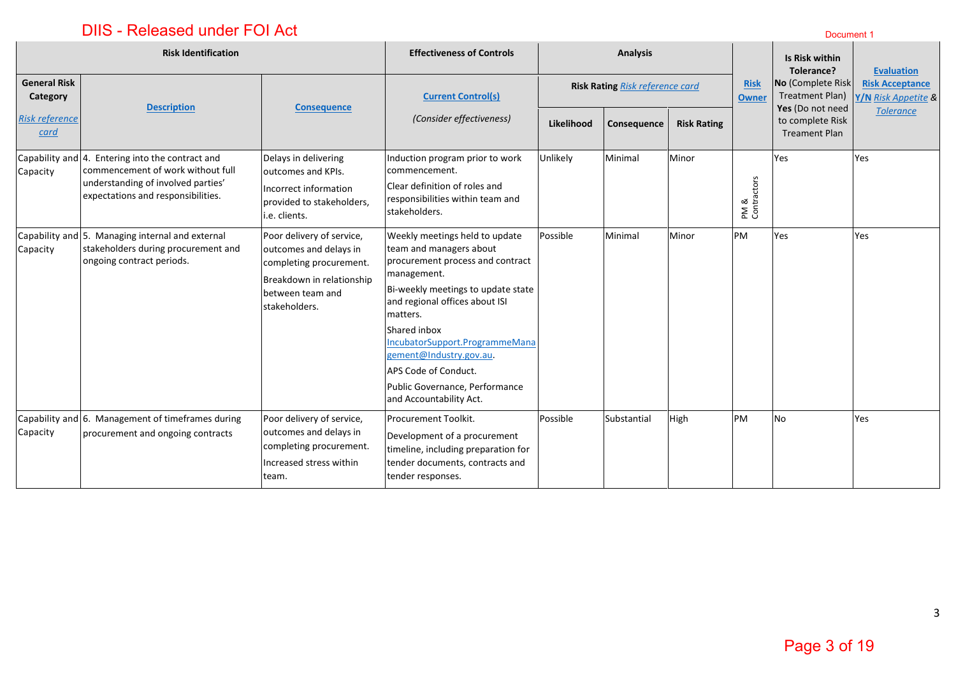|                                 | <b>Risk Identification</b>                                                                                                                                        |                                                                                                                                                  | <b>Effectiveness of Controls</b>                                                                                                                                                                                                                                                                                                                                   |                                        | <b>Analysis</b> |                    |                             | Is Risk within<br>Tolerance?                                 | <b>Evaluation</b>                             |
|---------------------------------|-------------------------------------------------------------------------------------------------------------------------------------------------------------------|--------------------------------------------------------------------------------------------------------------------------------------------------|--------------------------------------------------------------------------------------------------------------------------------------------------------------------------------------------------------------------------------------------------------------------------------------------------------------------------------------------------------------------|----------------------------------------|-----------------|--------------------|-----------------------------|--------------------------------------------------------------|-----------------------------------------------|
| <b>General Risk</b><br>Category | <b>Description</b>                                                                                                                                                | <b>Consequence</b>                                                                                                                               | <b>Current Control(s)</b>                                                                                                                                                                                                                                                                                                                                          | <b>Risk Rating Risk reference card</b> |                 |                    | <b>Risk</b><br><b>Owner</b> | No (Complete Risk<br>Treatment Plan)                         | <b>Risk Acceptance</b><br>Y/N Risk Appetite & |
| <b>Risk reference</b><br>card   |                                                                                                                                                                   |                                                                                                                                                  | (Consider effectiveness)                                                                                                                                                                                                                                                                                                                                           | Likelihood                             | Consequence     | <b>Risk Rating</b> |                             | Yes (Do not need<br>to complete Risk<br><b>Treament Plan</b> | <b>Tolerance</b>                              |
| Capacity                        | Capability and 4. Entering into the contract and<br>commencement of work without full<br>understanding of involved parties'<br>expectations and responsibilities. | Delays in delivering<br>loutcomes and KPIs.<br>Incorrect information<br>provided to stakeholders,<br>i.e. clients.                               | Induction program prior to work<br>commencement.<br>Clear definition of roles and<br>responsibilities within team and<br>stakeholders.                                                                                                                                                                                                                             | Unlikely                               | Minimal         | Minor              | PM &<br>Contractors         | Yes                                                          | Yes                                           |
| Capability and<br>Capacity      | 5. Managing internal and external<br>stakeholders during procurement and<br>ongoing contract periods.                                                             | Poor delivery of service,<br>outcomes and delays in<br>completing procurement.<br>Breakdown in relationship<br>between team and<br>stakeholders. | Weekly meetings held to update<br>team and managers about<br>procurement process and contract<br>management.<br>Bi-weekly meetings to update state<br>and regional offices about ISI<br>matters.<br>Shared inbox<br>IncubatorSupport.ProgrammeMana<br>gement@Industry.gov.au.<br>APS Code of Conduct.<br>Public Governance, Performance<br>and Accountability Act. | Possible                               | Minimal         | Minor              | PM                          | Yes                                                          | Yes                                           |
| Capacity                        | Capability and 6. Management of timeframes during<br>procurement and ongoing contracts                                                                            | Poor delivery of service,<br>outcomes and delays in<br>completing procurement.<br>Increased stress within<br>team.                               | Procurement Toolkit.<br>Development of a procurement<br>timeline, including preparation for<br>tender documents, contracts and<br>tender responses.                                                                                                                                                                                                                | Possible                               | Substantial     | High               | PM                          | No                                                           | Yes                                           |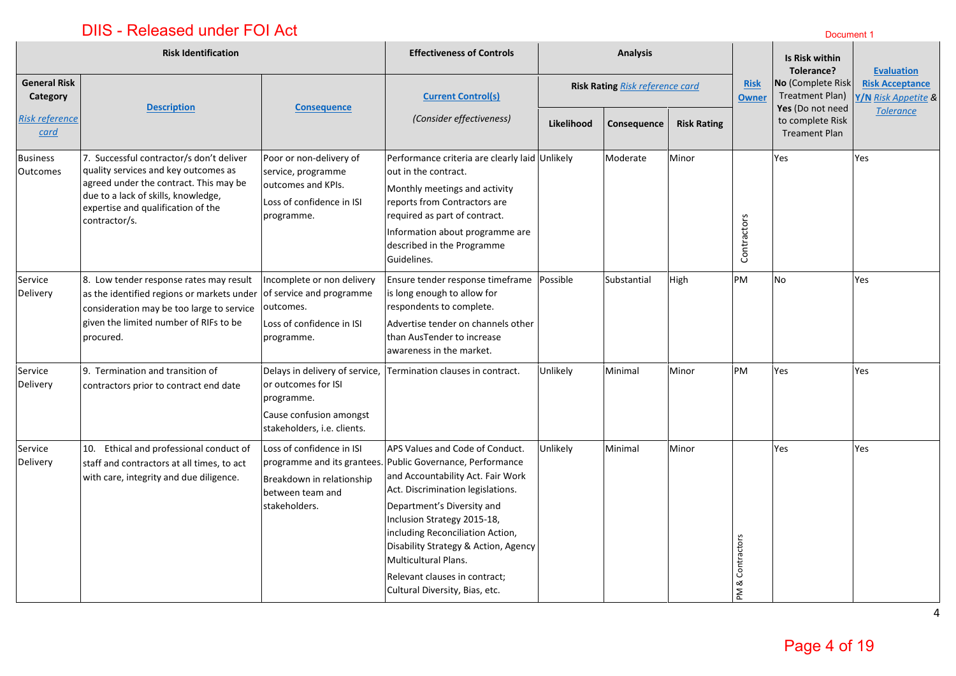# **DIIS - Released under FOI Act Discussion Community Control Control Community Community Community Community Community**

|                                    | <b>Risk Identification</b>                                                                                                                                                                                               |                                                                                                                               | <b>Effectiveness of Controls</b>                                                                                                                                                                                                                                                                                                                                                                            |                                 | <b>Analysis</b> |                    |                             | Is Risk within<br>Tolerance?                                 | <b>Evaluation</b>                             |
|------------------------------------|--------------------------------------------------------------------------------------------------------------------------------------------------------------------------------------------------------------------------|-------------------------------------------------------------------------------------------------------------------------------|-------------------------------------------------------------------------------------------------------------------------------------------------------------------------------------------------------------------------------------------------------------------------------------------------------------------------------------------------------------------------------------------------------------|---------------------------------|-----------------|--------------------|-----------------------------|--------------------------------------------------------------|-----------------------------------------------|
| <b>General Risk</b><br>Category    | <b>Description</b>                                                                                                                                                                                                       |                                                                                                                               | <b>Current Control(s)</b>                                                                                                                                                                                                                                                                                                                                                                                   | Risk Rating Risk reference card |                 |                    | <b>Risk</b><br><b>Owner</b> | No (Complete Risk<br>Treatment Plan)                         | <b>Risk Acceptance</b><br>Y/N Risk Appetite & |
| <b>Risk reference</b><br>card      |                                                                                                                                                                                                                          | <b>Consequence</b>                                                                                                            | (Consider effectiveness)                                                                                                                                                                                                                                                                                                                                                                                    | Likelihood                      | Consequence     | <b>Risk Rating</b> |                             | Yes (Do not need<br>to complete Risk<br><b>Treament Plan</b> | <b>Tolerance</b>                              |
| <b>Business</b><br><b>Outcomes</b> | 7. Successful contractor/s don't deliver<br>quality services and key outcomes as<br>agreed under the contract. This may be<br>due to a lack of skills, knowledge,<br>expertise and qualification of the<br>contractor/s. | Poor or non-delivery of<br>service, programme<br>outcomes and KPIs.<br>Loss of confidence in ISI<br>programme.                | Performance criteria are clearly laid Unlikely<br>out in the contract.<br>Monthly meetings and activity<br>reports from Contractors are<br>required as part of contract.<br>Information about programme are<br>described in the Programme<br>Guidelines.                                                                                                                                                    |                                 | Moderate        | Minor              | Contractors                 | Yes                                                          | Yes                                           |
| Service<br>Delivery                | 8. Low tender response rates may result<br>as the identified regions or markets under<br>consideration may be too large to service<br>given the limited number of RIFs to be<br>procured.                                | ncomplete or non delivery<br>of service and programme<br>outcomes.<br>Loss of confidence in ISI<br>programme.                 | Ensure tender response timeframe<br>is long enough to allow for<br>respondents to complete.<br>Advertise tender on channels other<br>than AusTender to increase<br>awareness in the market.                                                                                                                                                                                                                 | Possible                        | Substantial     | High               | PM                          | No                                                           | Yes                                           |
| Service<br>Delivery                | 9. Termination and transition of<br>contractors prior to contract end date                                                                                                                                               | Delays in delivery of service,<br>or outcomes for ISI<br>programme.<br>Cause confusion amongst<br>stakeholders, i.e. clients. | Termination clauses in contract.                                                                                                                                                                                                                                                                                                                                                                            | Unlikely                        | Minimal         | Minor              | <b>PM</b>                   | Yes                                                          | Yes                                           |
| Service<br>Delivery                | 10. Ethical and professional conduct of<br>staff and contractors at all times, to act<br>with care, integrity and due diligence.                                                                                         | Loss of confidence in ISI<br>Breakdown in relationship<br>between team and<br>stakeholders.                                   | APS Values and Code of Conduct.<br>programme and its grantees. Public Governance, Performance<br>and Accountability Act. Fair Work<br>Act. Discrimination legislations.<br>Department's Diversity and<br>Inclusion Strategy 2015-18,<br>including Reconciliation Action,<br>Disability Strategy & Action, Agency<br>Multicultural Plans.<br>Relevant clauses in contract;<br>Cultural Diversity, Bias, etc. | Unlikely                        | Minimal         | Minor              | PM & Contractors            | Yes                                                          | Yes                                           |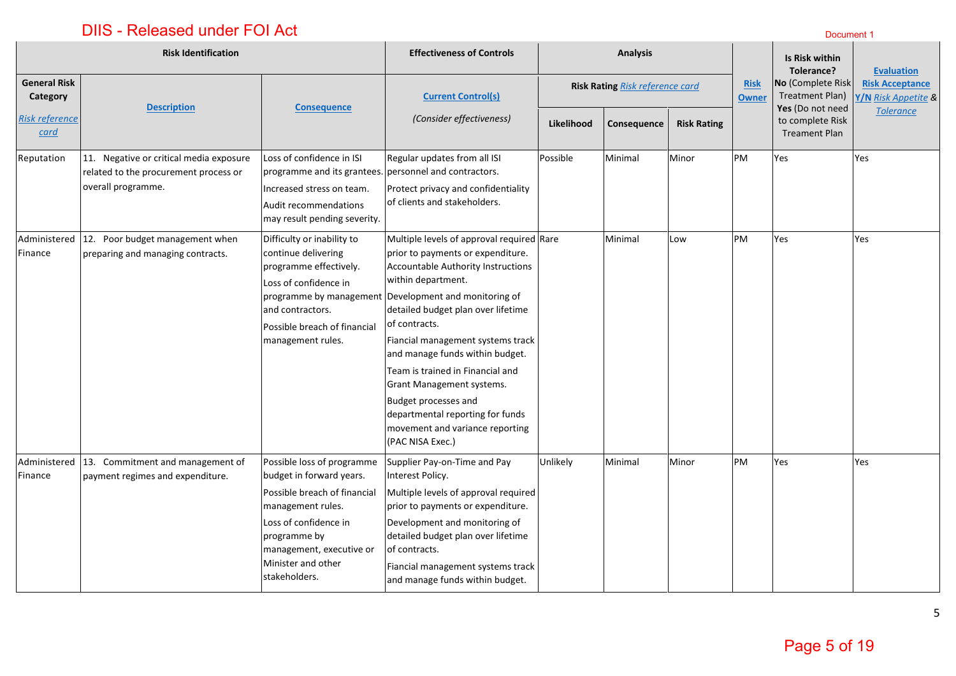|                                      | <b>Risk Identification</b>                                                                             |                                                                                                                                                                                                                         | <b>Effectiveness of Controls</b>                                                                                                                                                                                                                                                                                                                                                                                                                                                                                       | <b>Analysis</b>                 |             |                    | Is Risk within<br>Tolerance? | <b>Evaluation</b>                                               |                                               |
|--------------------------------------|--------------------------------------------------------------------------------------------------------|-------------------------------------------------------------------------------------------------------------------------------------------------------------------------------------------------------------------------|------------------------------------------------------------------------------------------------------------------------------------------------------------------------------------------------------------------------------------------------------------------------------------------------------------------------------------------------------------------------------------------------------------------------------------------------------------------------------------------------------------------------|---------------------------------|-------------|--------------------|------------------------------|-----------------------------------------------------------------|-----------------------------------------------|
| <b>General Risk</b><br>Category      | <b>Description</b>                                                                                     | <b>Consequence</b>                                                                                                                                                                                                      | <b>Current Control(s)</b>                                                                                                                                                                                                                                                                                                                                                                                                                                                                                              | Risk Rating Risk reference card |             |                    | <b>Risk</b><br><b>Owner</b>  | No (Complete Risk<br><b>Treatment Plan)</b><br>Yes (Do not need | <b>Risk Acceptance</b><br>Y/N Risk Appetite & |
| <b>Risk reference</b><br><u>card</u> |                                                                                                        |                                                                                                                                                                                                                         | (Consider effectiveness)                                                                                                                                                                                                                                                                                                                                                                                                                                                                                               | Likelihood                      | Consequence | <b>Risk Rating</b> |                              | to complete Risk<br><b>Treament Plan</b>                        | <b>Tolerance</b>                              |
| Reputation                           | 11. Negative or critical media exposure<br>related to the procurement process or<br>overall programme. | Loss of confidence in ISI<br>programme and its grantees. personnel and contractors.<br>Increased stress on team.<br>Audit recommendations<br>may result pending severity.                                               | Regular updates from all ISI<br>Protect privacy and confidentiality<br>of clients and stakeholders.                                                                                                                                                                                                                                                                                                                                                                                                                    | Possible                        | Minimal     | Minor              | PM                           | Yes                                                             | Yes                                           |
| Administered<br>Finance              | 12. Poor budget management when<br>preparing and managing contracts.                                   | Difficulty or inability to<br>continue delivering<br>programme effectively.<br>Loss of confidence in<br>and contractors.<br>Possible breach of financial<br>management rules.                                           | Multiple levels of approval required Rare<br>prior to payments or expenditure.<br>Accountable Authority Instructions<br>within department.<br>programme by management Development and monitoring of<br>detailed budget plan over lifetime<br>of contracts.<br>Fiancial management systems track<br>and manage funds within budget.<br>Team is trained in Financial and<br>Grant Management systems.<br>Budget processes and<br>departmental reporting for funds<br>movement and variance reporting<br>(PAC NISA Exec.) |                                 | Minimal     | Low                | PM                           | Yes                                                             | Yes                                           |
| Administered<br>Finance              | 13. Commitment and management of<br>payment regimes and expenditure.                                   | Possible loss of programme<br>budget in forward years.<br>Possible breach of financial<br>management rules.<br>Loss of confidence in<br>programme by<br>management, executive or<br>Minister and other<br>stakeholders. | Supplier Pay-on-Time and Pay<br>Interest Policy.<br>Multiple levels of approval required<br>prior to payments or expenditure.<br>Development and monitoring of<br>detailed budget plan over lifetime<br>of contracts.<br>Fiancial management systems track<br>and manage funds within budget.                                                                                                                                                                                                                          | Unlikely                        | Minimal     | Minor              | PM                           | Yes                                                             | Yes                                           |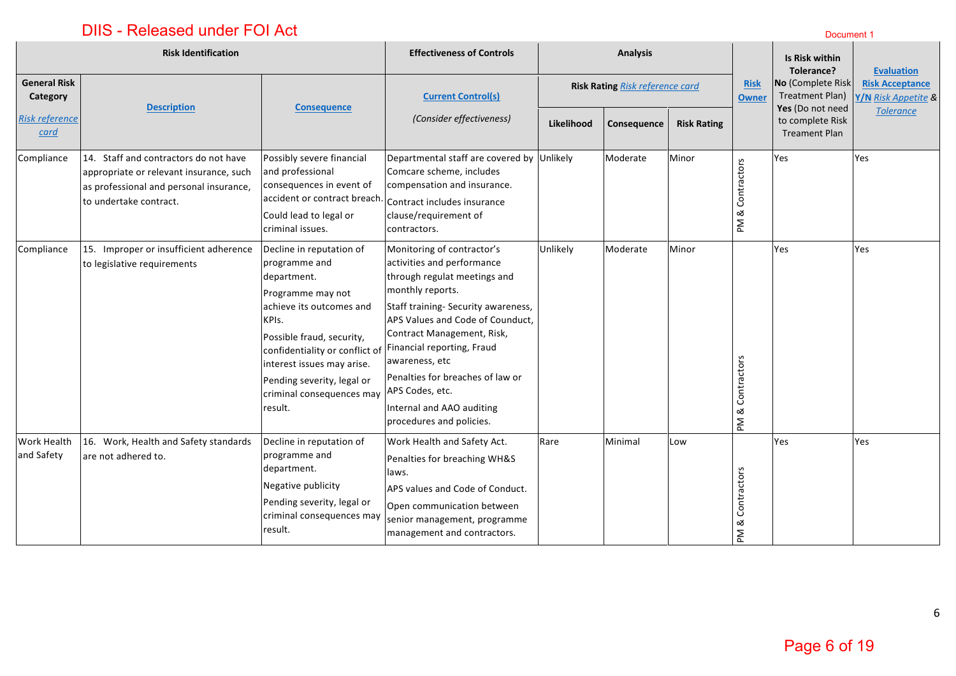# **DIIS - Released under FOI Act Discussion Community Control Control Community Community Community Community Community**

|                                  | <b>Risk Identification</b>                                                                                                                            |                                                                                                                                                                                                                                                                                                                   | <b>Effectiveness of Controls</b>                                                                                                                                                                                                                                                                                                                        |                           | <b>Analysis</b>                 |       |                                          | Is Risk within<br>Tolerance?                             | <b>Evaluation</b>                             |
|----------------------------------|-------------------------------------------------------------------------------------------------------------------------------------------------------|-------------------------------------------------------------------------------------------------------------------------------------------------------------------------------------------------------------------------------------------------------------------------------------------------------------------|---------------------------------------------------------------------------------------------------------------------------------------------------------------------------------------------------------------------------------------------------------------------------------------------------------------------------------------------------------|---------------------------|---------------------------------|-------|------------------------------------------|----------------------------------------------------------|-----------------------------------------------|
| <b>General Risk</b><br>Category  | <b>Description</b>                                                                                                                                    | <b>Consequence</b>                                                                                                                                                                                                                                                                                                | <b>Current Control(s)</b>                                                                                                                                                                                                                                                                                                                               |                           | Risk Rating Risk reference card |       | <b>Risk</b><br><b>Owner</b>              | No (Complete Risk<br>Treatment Plan)<br>Yes (Do not need | <b>Risk Acceptance</b><br>Y/N Risk Appetite & |
| <b>Risk reference</b><br>card    |                                                                                                                                                       |                                                                                                                                                                                                                                                                                                                   | (Consider effectiveness)                                                                                                                                                                                                                                                                                                                                | Likelihood<br>Consequence | <b>Risk Rating</b>              |       | to complete Risk<br><b>Treament Plan</b> | <b>Tolerance</b>                                         |                                               |
| Compliance                       | 14. Staff and contractors do not have<br>appropriate or relevant insurance, such<br>as professional and personal insurance,<br>to undertake contract. | Possibly severe financial<br>and professional<br>consequences in event of<br>accident or contract breach.<br>Could lead to legal or<br>criminal issues.                                                                                                                                                           | Departmental staff are covered by<br>Comcare scheme, includes<br>compensation and insurance.<br>Contract includes insurance<br>clause/requirement of<br>contractors.                                                                                                                                                                                    | Unlikely                  | Moderate                        | Minor | PM & Contractors                         | Yes                                                      | Yes                                           |
| Compliance                       | 15. Improper or insufficient adherence<br>to legislative requirements                                                                                 | Decline in reputation of<br>programme and<br>department.<br>Programme may not<br>lachieve its outcomes and<br>KPIs.<br>Possible fraud, security,<br>confidentiality or conflict of Financial reporting, Fraud<br>interest issues may arise.<br>Pending severity, legal or<br>criminal consequences may<br>result. | Monitoring of contractor's<br>activities and performance<br>through regulat meetings and<br>monthly reports.<br>Staff training- Security awareness,<br>APS Values and Code of Counduct,<br>Contract Management, Risk,<br>awareness, etc<br>Penalties for breaches of law or<br>APS Codes, etc.<br>Internal and AAO auditing<br>procedures and policies. | Unlikely                  | Moderate                        | Minor | & Contractors<br>$\mathsf{M}$            | Yes                                                      | Yes                                           |
| <b>Work Health</b><br>and Safety | 16. Work, Health and Safety standards<br>are not adhered to.                                                                                          | Decline in reputation of<br>programme and<br>department.<br>Negative publicity<br>Pending severity, legal or<br>criminal consequences may<br>result.                                                                                                                                                              | Work Health and Safety Act.<br>Penalties for breaching WH&S<br>laws.<br>APS values and Code of Conduct.<br>Open communication between<br>senior management, programme<br>management and contractors.                                                                                                                                                    | Rare                      | Minimal                         | Low   | Contractors<br>PM &                      | Yes                                                      | Yes                                           |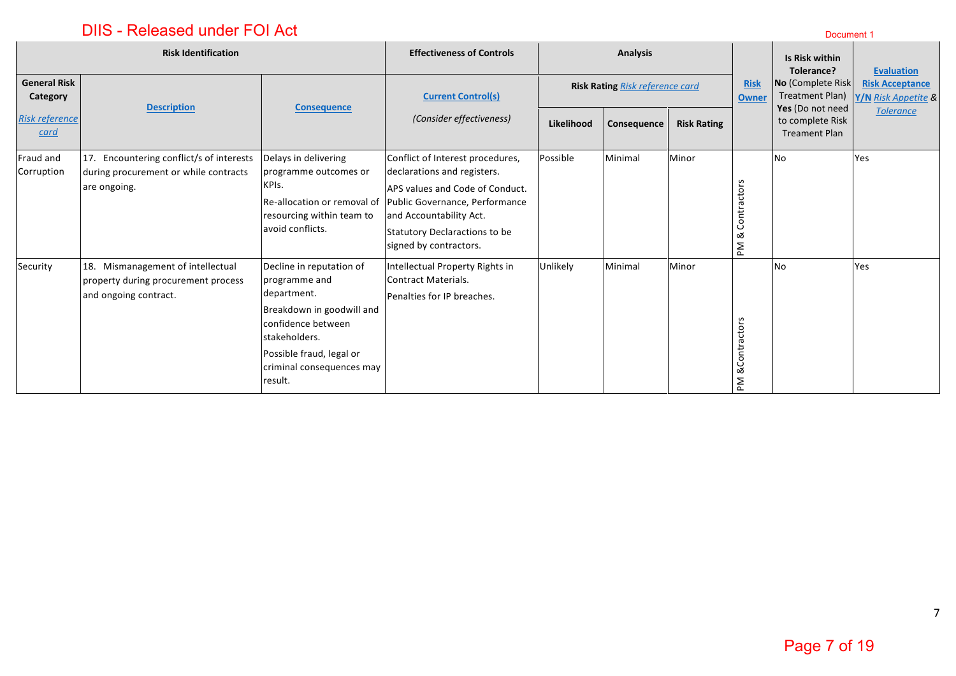|                                 | <b>Risk Identification</b>                                                                        |                                                                                                                                                                                                  | <b>Effectiveness of Controls</b><br><b>Analysis</b>                                                                                                                                                                                                    |            |                                 |                    |                               | Is Risk within<br>Tolerance?                                 | <b>Evaluation</b>                             |
|---------------------------------|---------------------------------------------------------------------------------------------------|--------------------------------------------------------------------------------------------------------------------------------------------------------------------------------------------------|--------------------------------------------------------------------------------------------------------------------------------------------------------------------------------------------------------------------------------------------------------|------------|---------------------------------|--------------------|-------------------------------|--------------------------------------------------------------|-----------------------------------------------|
| <b>General Risk</b><br>Category |                                                                                                   |                                                                                                                                                                                                  | <b>Current Control(s)</b>                                                                                                                                                                                                                              |            | Risk Rating Risk reference card |                    | <b>Risk</b><br><b>Owner</b>   | No (Complete Risk<br>Treatment Plan)                         | <b>Risk Acceptance</b><br>Y/N Risk Appetite & |
| <b>Risk reference</b><br>card   | <b>Description</b>                                                                                | <b>Consequence</b>                                                                                                                                                                               | (Consider effectiveness)                                                                                                                                                                                                                               | Likelihood | Consequence                     | <b>Risk Rating</b> |                               | Yes (Do not need<br>to complete Risk<br><b>Treament Plan</b> | <b>Tolerance</b>                              |
| Fraud and<br>Corruption         | 17. Encountering conflict/s of interests<br>during procurement or while contracts<br>are ongoing. | Delays in delivering<br>programme outcomes or<br>KPIs.<br>resourcing within team to<br>avoid conflicts.                                                                                          | Conflict of Interest procedures,<br>declarations and registers.<br>APS values and Code of Conduct.<br>Re-allocation or removal of Public Governance, Performance<br>and Accountability Act.<br>Statutory Declaractions to be<br>signed by contractors. | Possible   | Minimal                         | Minor              | actors<br>Contr<br>ఱ<br>ΣĀ    | No                                                           | Yes                                           |
| Security                        | 18. Mismanagement of intellectual<br>property during procurement process<br>and ongoing contract. | Decline in reputation of<br>programme and<br>department.<br>Breakdown in goodwill and<br>confidence between<br>stakeholders.<br>Possible fraud, legal or<br>criminal consequences may<br>result. | Intellectual Property Rights in<br>Contract Materials.<br>Penalties for IP breaches.                                                                                                                                                                   | Unlikely   | Minimal                         | Minor              | <b>&amp;Contractors</b><br>ΣĀ | No                                                           | Yes                                           |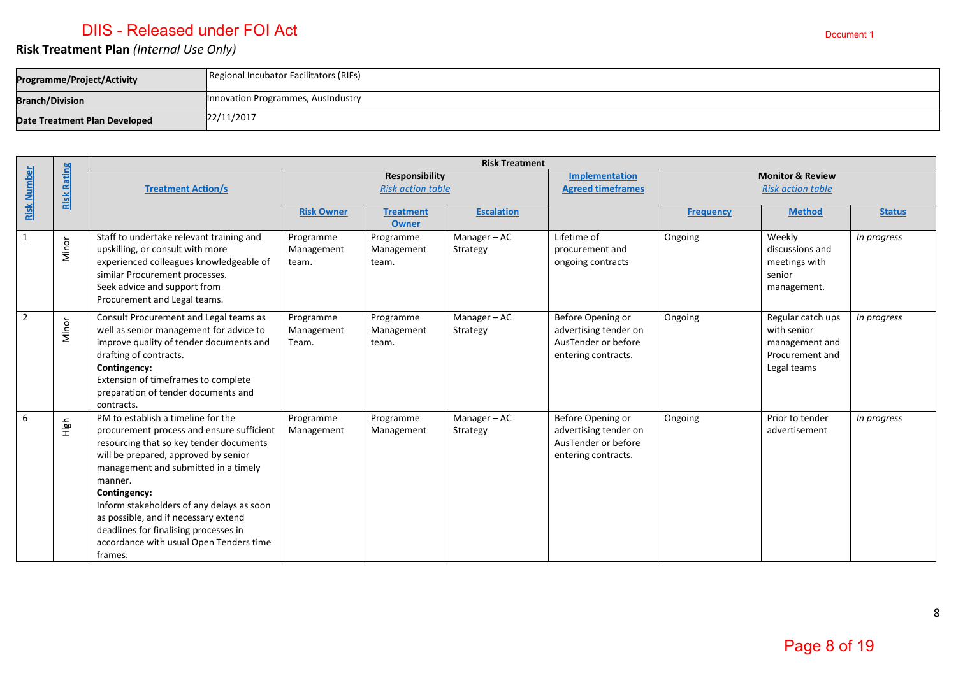### **Risk Treatment Plan** *(Internal Use Only)*

| Programme/Project/Activity    | Regional Incubator Facilitators (RIFs) |
|-------------------------------|----------------------------------------|
| <b>Branch/Division</b>        | Innovation Programmes, AusIndustry     |
| Date Treatment Plan Developed | 22/11/2017                             |

|                    |                    | <b>Risk Treatment</b>                                                                                                                                                                                                                                                                                                                                                                                                     |                                                   |                                  |                                                   |                                                                                          |                  |                                                                                      |               |
|--------------------|--------------------|---------------------------------------------------------------------------------------------------------------------------------------------------------------------------------------------------------------------------------------------------------------------------------------------------------------------------------------------------------------------------------------------------------------------------|---------------------------------------------------|----------------------------------|---------------------------------------------------|------------------------------------------------------------------------------------------|------------------|--------------------------------------------------------------------------------------|---------------|
| <b>Risk Number</b> | <b>Risk Rating</b> | <b>Treatment Action/s</b>                                                                                                                                                                                                                                                                                                                                                                                                 | <b>Responsibility</b><br><b>Risk action table</b> |                                  | <b>Implementation</b><br><b>Agreed timeframes</b> | <b>Monitor &amp; Review</b><br><b>Risk action table</b>                                  |                  |                                                                                      |               |
|                    |                    |                                                                                                                                                                                                                                                                                                                                                                                                                           | <b>Risk Owner</b>                                 | <b>Treatment</b><br><b>Owner</b> | <b>Escalation</b>                                 |                                                                                          | <b>Frequency</b> | <b>Method</b>                                                                        | <b>Status</b> |
| $\mathbf{1}$       | Minor              | Staff to undertake relevant training and<br>upskilling, or consult with more<br>experienced colleagues knowledgeable of<br>similar Procurement processes.<br>Seek advice and support from<br>Procurement and Legal teams.                                                                                                                                                                                                 | Programme<br>Management<br>team.                  | Programme<br>Management<br>team. | Manager-AC<br>Strategy                            | Lifetime of<br>procurement and<br>ongoing contracts                                      | Ongoing          | Weekly<br>discussions and<br>meetings with<br>senior<br>management.                  | In progress   |
| $\overline{2}$     | Minor              | Consult Procurement and Legal teams as<br>well as senior management for advice to<br>improve quality of tender documents and<br>drafting of contracts.<br>Contingency:<br>Extension of timeframes to complete<br>preparation of tender documents and<br>contracts.                                                                                                                                                        | Programme<br>Management<br>Team.                  | Programme<br>Management<br>team. | Manager-AC<br>Strategy                            | Before Opening or<br>advertising tender on<br>AusTender or before<br>entering contracts. | Ongoing          | Regular catch ups<br>with senior<br>management and<br>Procurement and<br>Legal teams | In progress   |
| 6                  | High               | PM to establish a timeline for the<br>procurement process and ensure sufficient<br>resourcing that so key tender documents<br>will be prepared, approved by senior<br>management and submitted in a timely<br>manner.<br>Contingency:<br>Inform stakeholders of any delays as soon<br>as possible, and if necessary extend<br>deadlines for finalising processes in<br>accordance with usual Open Tenders time<br>frames. | Programme<br>Management                           | Programme<br>Management          | Manager-AC<br>Strategy                            | Before Opening or<br>advertising tender on<br>AusTender or before<br>entering contracts. | Ongoing          | Prior to tender<br>advertisement                                                     | In progress   |

8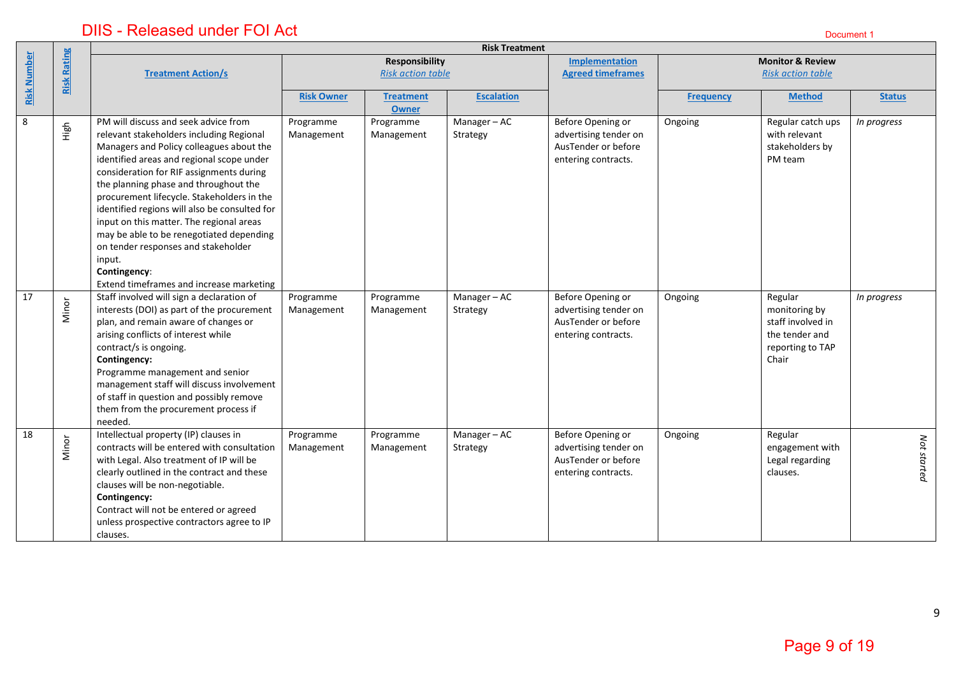|                    |                    |                                                                                                                                                                                                                                                                                                                                                                                                                                                                                                                                                                    |                         |                                                   | <b>Risk Treatment</b>  |                                                                                          |                  |                                                                                              |               |
|--------------------|--------------------|--------------------------------------------------------------------------------------------------------------------------------------------------------------------------------------------------------------------------------------------------------------------------------------------------------------------------------------------------------------------------------------------------------------------------------------------------------------------------------------------------------------------------------------------------------------------|-------------------------|---------------------------------------------------|------------------------|------------------------------------------------------------------------------------------|------------------|----------------------------------------------------------------------------------------------|---------------|
| <b>Risk Number</b> | <b>Risk Rating</b> | <b>Treatment Action/s</b>                                                                                                                                                                                                                                                                                                                                                                                                                                                                                                                                          |                         | <b>Responsibility</b><br><b>Risk action table</b> |                        | Implementation<br><b>Agreed timeframes</b>                                               |                  | <b>Monitor &amp; Review</b><br><b>Risk action table</b>                                      |               |
|                    |                    |                                                                                                                                                                                                                                                                                                                                                                                                                                                                                                                                                                    | <b>Risk Owner</b>       | <b>Treatment</b><br><b>Owner</b>                  | <b>Escalation</b>      |                                                                                          | <b>Frequency</b> | <b>Method</b>                                                                                | <b>Status</b> |
| $\,8\,$            | High               | PM will discuss and seek advice from<br>relevant stakeholders including Regional<br>Managers and Policy colleagues about the<br>identified areas and regional scope under<br>consideration for RIF assignments during<br>the planning phase and throughout the<br>procurement lifecycle. Stakeholders in the<br>identified regions will also be consulted for<br>input on this matter. The regional areas<br>may be able to be renegotiated depending<br>on tender responses and stakeholder<br>input.<br>Contingency:<br>Extend timeframes and increase marketing | Programme<br>Management | Programme<br>Management                           | Manager-AC<br>Strategy | Before Opening or<br>advertising tender on<br>AusTender or before<br>entering contracts. | Ongoing          | Regular catch ups<br>with relevant<br>stakeholders by<br>PM team                             | In progress   |
| 17                 | Minor              | Staff involved will sign a declaration of<br>interests (DOI) as part of the procurement<br>plan, and remain aware of changes or<br>arising conflicts of interest while<br>contract/s is ongoing.<br>Contingency:<br>Programme management and senior<br>management staff will discuss involvement<br>of staff in question and possibly remove<br>them from the procurement process if<br>needed.                                                                                                                                                                    | Programme<br>Management | Programme<br>Management                           | Manager-AC<br>Strategy | Before Opening or<br>advertising tender on<br>AusTender or before<br>entering contracts. | Ongoing          | Regular<br>monitoring by<br>staff involved in<br>the tender and<br>reporting to TAP<br>Chair | In progress   |
| 18                 | Minor              | Intellectual property (IP) clauses in<br>contracts will be entered with consultation<br>with Legal. Also treatment of IP will be<br>clearly outlined in the contract and these<br>clauses will be non-negotiable.<br>Contingency:<br>Contract will not be entered or agreed<br>unless prospective contractors agree to IP<br>clauses.                                                                                                                                                                                                                              | Programme<br>Management | Programme<br>Management                           | Manager-AC<br>Strategy | Before Opening or<br>advertising tender on<br>AusTender or before<br>entering contracts. | Ongoing          | Regular<br>engagement with<br>Legal regarding<br>clauses.                                    | Not started   |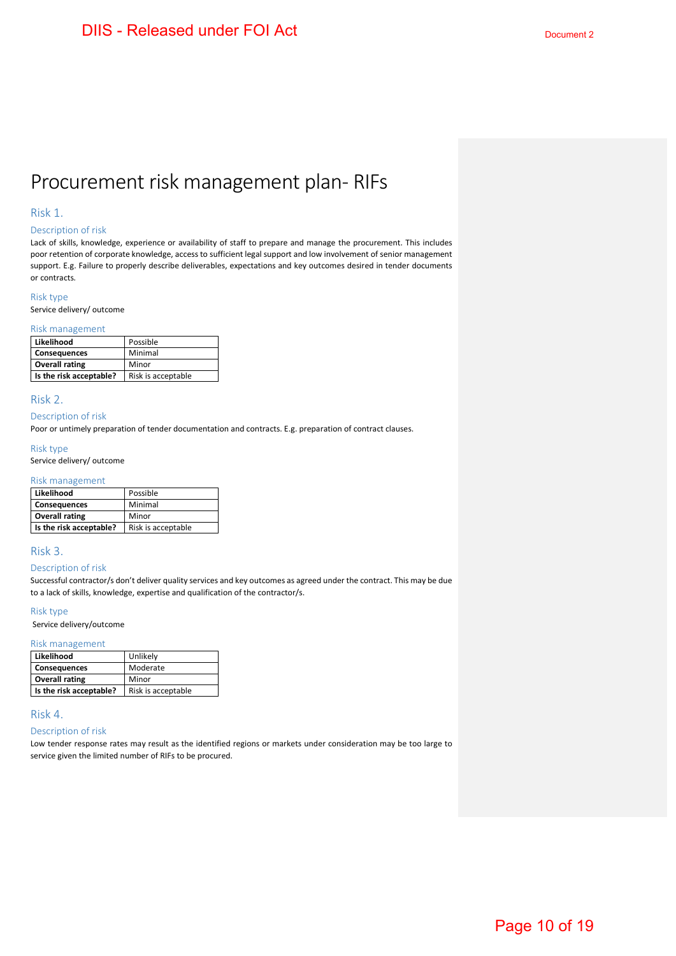# Procurement risk management plan- RIFs

#### Risk 1.

#### Description of risk

Lack of skills, knowledge, experience or availability of staff to prepare and manage the procurement. This includes poor retention of corporate knowledge, access to sufficient legal support and low involvement of senior management support. E.g. Failure to properly describe deliverables, expectations and key outcomes desired in tender documents or contracts.

#### Risk type

Service delivery/ outcome

#### Risk management

| Likelihood              | Possible           |
|-------------------------|--------------------|
| <b>Consequences</b>     | Minimal            |
| <b>Overall rating</b>   | Minor              |
| Is the risk acceptable? | Risk is acceptable |

#### Risk 2.

#### Description of risk

Poor or untimely preparation of tender documentation and contracts. E.g. preparation of contract clauses.

#### Risk type

Service delivery/ outcome

#### Risk management

| Likelihood              | Possible           |
|-------------------------|--------------------|
| <b>Consequences</b>     | Minimal            |
| <b>Overall rating</b>   | Minor              |
| Is the risk acceptable? | Risk is acceptable |

#### Risk 3.

#### Description of risk

Successful contractor/s don't deliver quality services and key outcomes as agreed under the contract. This may be due to a lack of skills, knowledge, expertise and qualification of the contractor/s.

#### Risk type

Service delivery/outcome

#### Risk management

| Likelihood              | Unlikely           |
|-------------------------|--------------------|
| <b>Consequences</b>     | Moderate           |
| <b>Overall rating</b>   | Minor              |
| Is the risk acceptable? | Risk is acceptable |

#### Risk 4.

#### Description of risk

Low tender response rates may result as the identified regions or markets under consideration may be too large to service given the limited number of RIFs to be procured.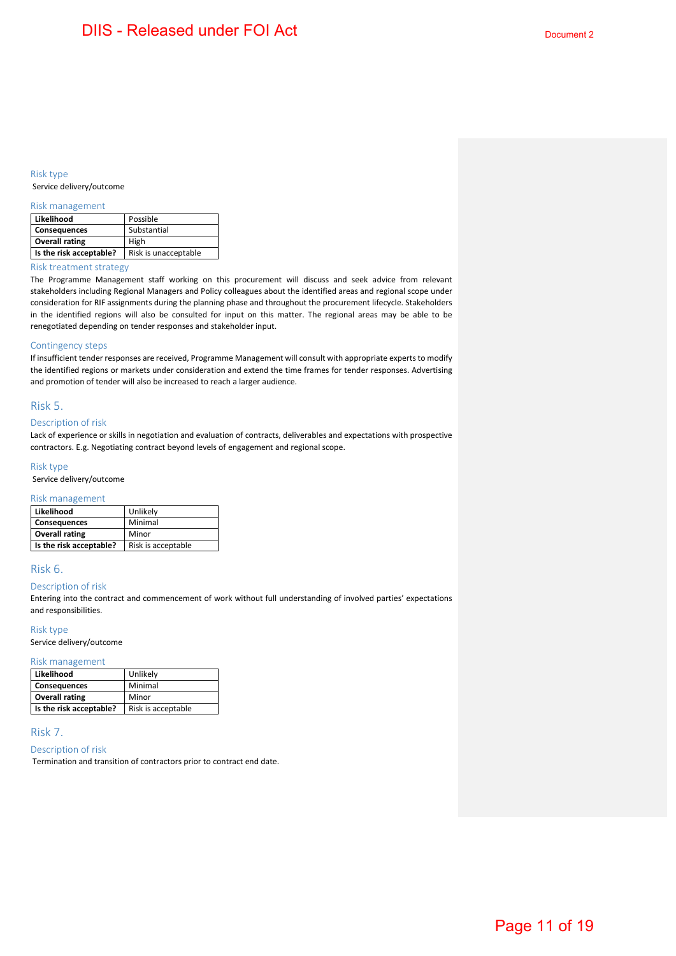#### Risk type Service delivery/outcome

#### Risk management

| Likelihood              | Possible             |
|-------------------------|----------------------|
| <b>Consequences</b>     | Substantial          |
| <b>Overall rating</b>   | High                 |
| Is the risk acceptable? | Risk is unacceptable |

#### Risk treatment strategy

The Programme Management staff working on this procurement will discuss and seek advice from relevant stakeholders including Regional Managers and Policy colleagues about the identified areas and regional scope under consideration for RIF assignments during the planning phase and throughout the procurement lifecycle. Stakeholders in the identified regions will also be consulted for input on this matter. The regional areas may be able to be renegotiated depending on tender responses and stakeholder input.

#### Contingency steps

If insufficient tender responses are received, Programme Management will consult with appropriate experts to modify the identified regions or markets under consideration and extend the time frames for tender responses. Advertising and promotion of tender will also be increased to reach a larger audience.

#### Risk 5.

#### Description of risk

Lack of experience or skills in negotiation and evaluation of contracts, deliverables and expectations with prospective contractors. E.g. Negotiating contract beyond levels of engagement and regional scope.

#### Risk type

Service delivery/outcome

#### Risk management

| Likelihood              | Unlikely           |
|-------------------------|--------------------|
| <b>Consequences</b>     | Minimal            |
| <b>Overall rating</b>   | Minor              |
| Is the risk acceptable? | Risk is acceptable |

#### Risk 6.

#### Description of risk

Entering into the contract and commencement of work without full understanding of involved parties' expectations and responsibilities.

#### Risk type

Service delivery/outcome

#### Risk management

| Likelihood              | Unlikely           |
|-------------------------|--------------------|
| <b>Consequences</b>     | Minimal            |
| <b>Overall rating</b>   | Minor              |
| Is the risk acceptable? | Risk is acceptable |

#### Risk 7.

#### Description of risk

Termination and transition of contractors prior to contract end date.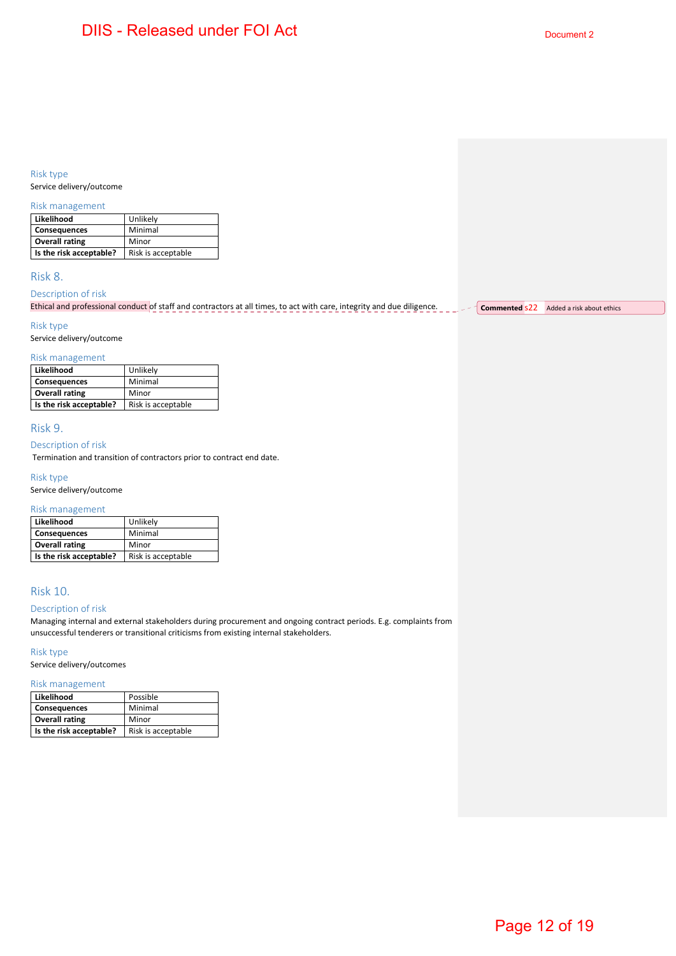#### Risk type

Service delivery/outcome

#### Risk management

| Likelihood              | Unlikely           |
|-------------------------|--------------------|
| <b>Consequences</b>     | Minimal            |
| <b>Overall rating</b>   | Minor              |
| Is the risk acceptable? | Risk is acceptable |

#### Risk 8.

#### Description of risk

| Ethical and professional conduct of staff and contractors at all times, to act with care, integrity and due diligence. | Commented S22 | Added a risk about ethics |
|------------------------------------------------------------------------------------------------------------------------|---------------|---------------------------|
|                                                                                                                        |               |                           |

#### Risk type

Service delivery/outcome

#### Risk management

| Likelihood              | Unlikely           |
|-------------------------|--------------------|
| <b>Consequences</b>     | Minimal            |
| <b>Overall rating</b>   | Minor              |
| Is the risk acceptable? | Risk is acceptable |

#### Risk 9.

#### Description of risk

Termination and transition of contractors prior to contract end date.

#### Risk type

Service delivery/outcome

#### Risk management

| Likelihood              | Unlikely           |
|-------------------------|--------------------|
| <b>Consequences</b>     | Minimal            |
| <b>Overall rating</b>   | Minor              |
| Is the risk acceptable? | Risk is acceptable |

### Risk 10.

#### Description of risk

Managing internal and external stakeholders during procurement and ongoing contract periods. E.g. complaints from unsuccessful tenderers or transitional criticisms from existing internal stakeholders.

#### Risk type

Service delivery/outcomes

#### Risk management

| Likelihood              | Possible           |
|-------------------------|--------------------|
| <b>Consequences</b>     | Minimal            |
| <b>Overall rating</b>   | Minor              |
| Is the risk acceptable? | Risk is acceptable |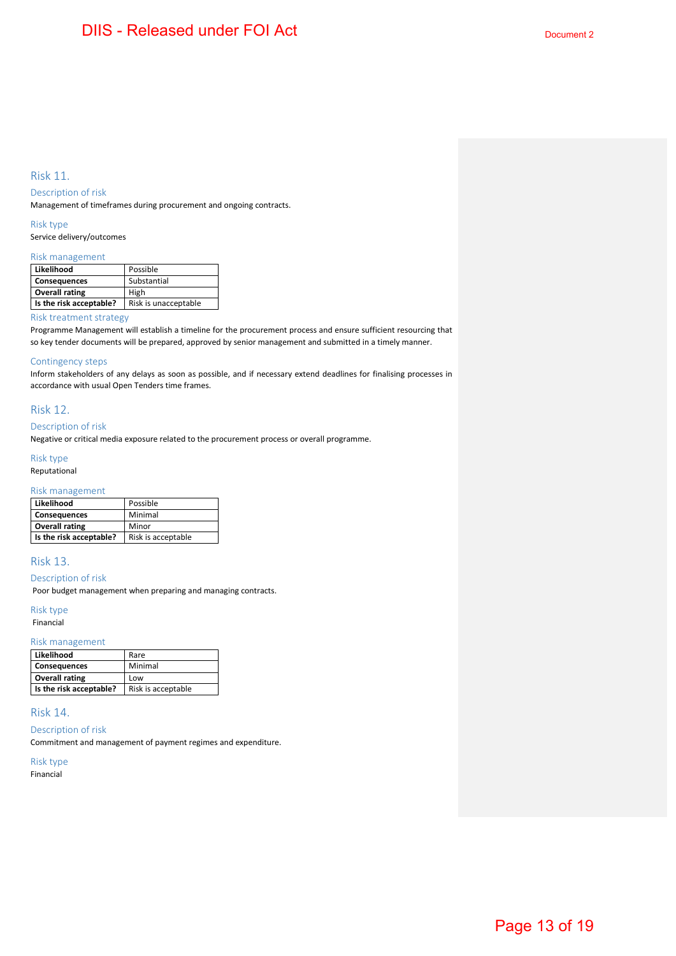#### Risk 11.

#### Description of risk

Management of timeframes during procurement and ongoing contracts.

Risk type

Service delivery/outcomes

#### Risk management

| Likelihood              | Possible             |
|-------------------------|----------------------|
| <b>Consequences</b>     | Substantial          |
| <b>Overall rating</b>   | High                 |
| Is the risk acceptable? | Risk is unacceptable |

#### Risk treatment strategy

Programme Management will establish a timeline for the procurement process and ensure sufficient resourcing that so key tender documents will be prepared, approved by senior management and submitted in a timely manner.

#### Contingency steps

Inform stakeholders of any delays as soon as possible, and if necessary extend deadlines for finalising processes in accordance with usual Open Tenders time frames.

#### Risk 12.

#### Description of risk

Negative or critical media exposure related to the procurement process or overall programme.

#### Risk type

Reputational

#### Risk management

| Likelihood              | Possible           |
|-------------------------|--------------------|
| <b>Consequences</b>     | Minimal            |
| <b>Overall rating</b>   | Minor              |
| Is the risk acceptable? | Risk is acceptable |

#### Risk 13.

#### Description of risk

Poor budget management when preparing and managing contracts.

#### Risk type

Financial

#### Risk management

| Likelihood              | Rare               |
|-------------------------|--------------------|
| <b>Consequences</b>     | Minimal            |
| <b>Overall rating</b>   | Low                |
| Is the risk acceptable? | Risk is acceptable |

#### Risk 14.

Description of risk

Commitment and management of payment regimes and expenditure.

Risk type Financial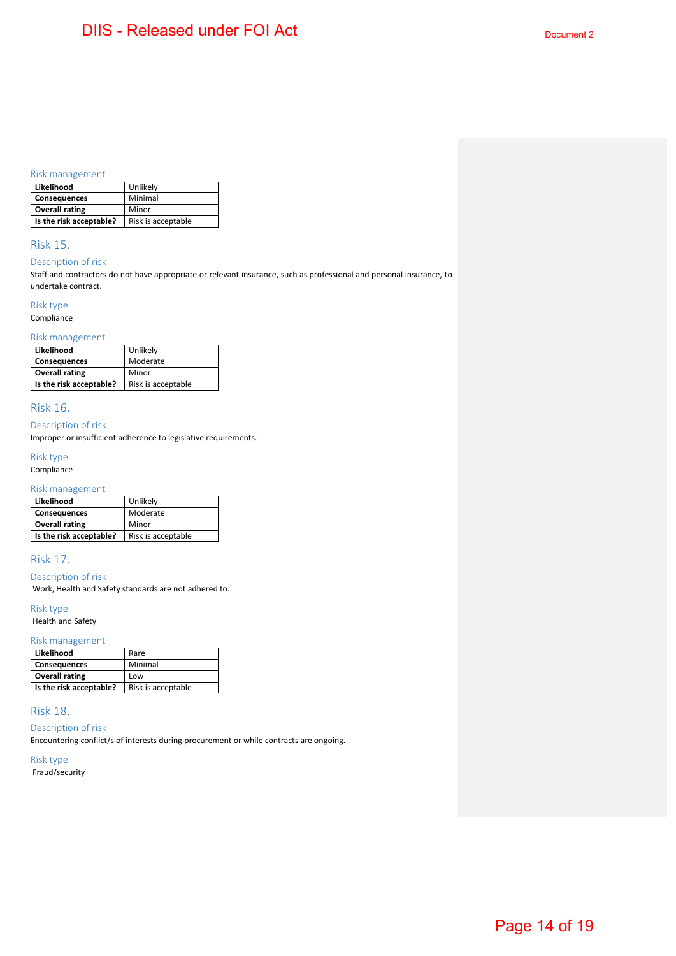#### Risk management

| Likelihood              | Unlikely           |
|-------------------------|--------------------|
| <b>Consequences</b>     | Minimal            |
| <b>Overall rating</b>   | Minor              |
| Is the risk acceptable? | Risk is acceptable |

#### Risk 15.

#### Description of risk

Staff and contractors do not have appropriate or relevant insurance, such as professional and personal insurance, to undertake contract.

#### Risk type

Compliance

#### Risk management

| Likelihood              | Unlikely           |
|-------------------------|--------------------|
| <b>Consequences</b>     | Moderate           |
| <b>Overall rating</b>   | Minor              |
| Is the risk acceptable? | Risk is acceptable |

#### Risk 16.

Description of risk

Improper or insufficient adherence to legislative requirements.

Risk type

### Compliance

#### Risk management

| Likelihood              | Unlikely           |
|-------------------------|--------------------|
| <b>Consequences</b>     | Moderate           |
| <b>Overall rating</b>   | Minor              |
| Is the risk acceptable? | Risk is acceptable |

#### Risk 17.

Description of risk

Work, Health and Safety standards are not adhered to.

#### Risk type

Health and Safety

#### Risk management

| Likelihood              | Rare               |
|-------------------------|--------------------|
| <b>Consequences</b>     | Minimal            |
| <b>Overall rating</b>   | Low                |
| Is the risk acceptable? | Risk is acceptable |

#### Risk 18.

Description of risk

Encountering conflict/s of interests during procurement or while contracts are ongoing.

Risk type

Fraud/security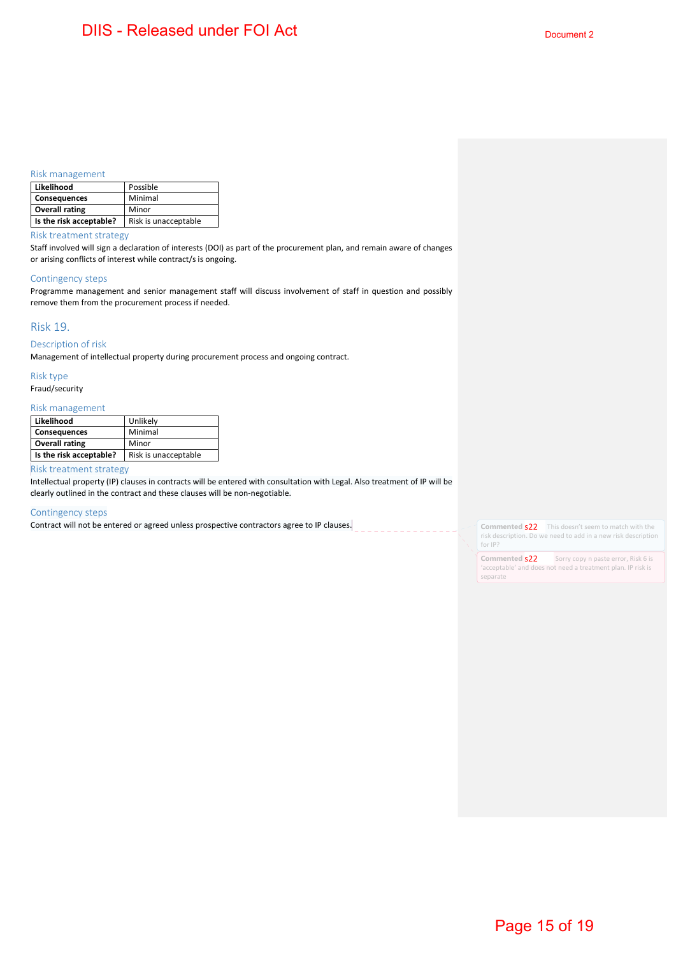#### Risk management

| Likelihood              | Possible             |
|-------------------------|----------------------|
| Consequences            | Minimal              |
| <b>Overall rating</b>   | Minor                |
| Is the risk acceptable? | Risk is unacceptable |

Risk treatment strategy

Staff involved will sign a declaration of interests (DOI) as part of the procurement plan, and remain aware of changes or arising conflicts of interest while contract/s is ongoing.

#### Contingency steps

Programme management and senior management staff will discuss involvement of staff in question and possibly remove them from the procurement process if needed.

#### Risk 19.

#### Description of risk

Management of intellectual property during procurement process and ongoing contract.

Risk type Fraud/security

#### Risk management

| Likelihood              | Unlikely             |
|-------------------------|----------------------|
| <b>Consequences</b>     | Minimal              |
| <b>Overall rating</b>   | Minor                |
| Is the risk acceptable? | Risk is unacceptable |

#### Risk treatment strategy

Intellectual property (IP) clauses in contracts will be entered with consultation with Legal. Also treatment of IP will be clearly outlined in the contract and these clauses will be non-negotiable.

#### Contingency steps

Contract will not be entered or agreed unless prospective contractors agree to IP clauses.

**Commented \$22** This doesn't seem to match with the risk description. Do we need to add in a new risk description for IP?

**Commented S22** Sorry copy n paste error, Risk 6 is 'acceptable' and does not need a treatment plan. IP risk is separate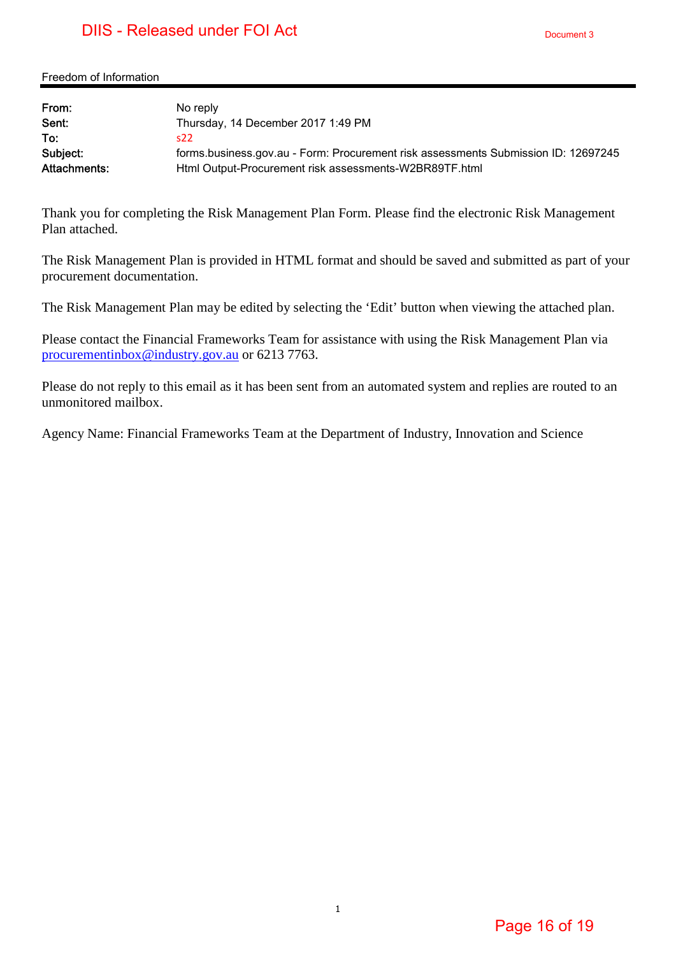## DIIS - Released under FOI Act

Freedom of Information

| From:        | No reply                                                                           |
|--------------|------------------------------------------------------------------------------------|
| Sent:        | Thursday, 14 December 2017 1:49 PM                                                 |
| To:          | s22                                                                                |
| Subject:     | forms.business.gov.au - Form: Procurement risk assessments Submission ID: 12697245 |
| Attachments: | Html Output-Procurement risk assessments-W2BR89TF.html                             |

Thank you for completing the Risk Management Plan Form. Please find the electronic Risk Management Plan attached.

The Risk Management Plan is provided in HTML format and should be saved and submitted as part of your procurement documentation.

The Risk Management Plan may be edited by selecting the 'Edit' button when viewing the attached plan.

Please contact the Financial Frameworks Team for assistance with using the Risk Management Plan via procurementinbox@industry.gov.au or 6213 7763.

Please do not reply to this email as it has been sent from an automated system and replies are routed to an unmonitored mailbox.

Agency Name: Financial Frameworks Team at the Department of Industry, Innovation and Science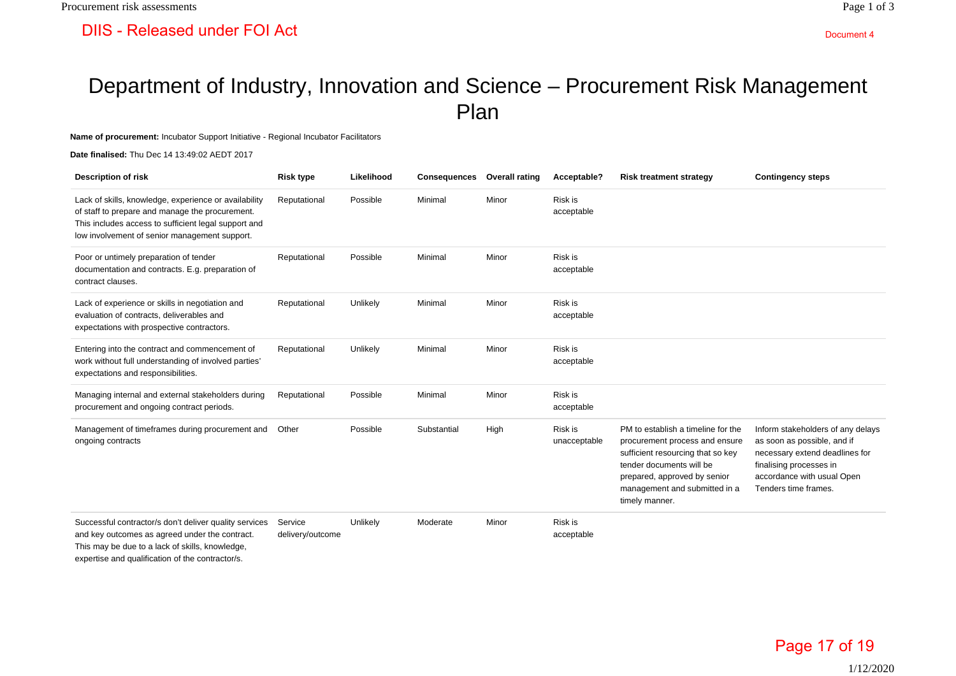# Department of Industry, Innovation and Science – Procurement Risk Management Plan

**Name of procurement:** Incubator Support Initiative - Regional Incubator Facilitators

**Date finalised:** Thu Dec 14 13:49:02 AEDT 2017

| <b>Description of risk</b>                                                                                                                                                                                        | <b>Risk type</b>            | Likelihood | <b>Consequences</b> | <b>Overall rating</b> | Acceptable?             | <b>Risk treatment strategy</b>                                                                                                                                                                                           | <b>Contingency steps</b>                                                                                                                                                            |
|-------------------------------------------------------------------------------------------------------------------------------------------------------------------------------------------------------------------|-----------------------------|------------|---------------------|-----------------------|-------------------------|--------------------------------------------------------------------------------------------------------------------------------------------------------------------------------------------------------------------------|-------------------------------------------------------------------------------------------------------------------------------------------------------------------------------------|
| Lack of skills, knowledge, experience or availability<br>of staff to prepare and manage the procurement.<br>This includes access to sufficient legal support and<br>low involvement of senior management support. | Reputational                | Possible   | Minimal             | Minor                 | Risk is<br>acceptable   |                                                                                                                                                                                                                          |                                                                                                                                                                                     |
| Poor or untimely preparation of tender<br>documentation and contracts. E.g. preparation of<br>contract clauses.                                                                                                   | Reputational                | Possible   | Minimal             | Minor                 | Risk is<br>acceptable   |                                                                                                                                                                                                                          |                                                                                                                                                                                     |
| Lack of experience or skills in negotiation and<br>evaluation of contracts, deliverables and<br>expectations with prospective contractors.                                                                        | Reputational                | Unlikely   | Minimal             | Minor                 | Risk is<br>acceptable   |                                                                                                                                                                                                                          |                                                                                                                                                                                     |
| Entering into the contract and commencement of<br>work without full understanding of involved parties'<br>expectations and responsibilities.                                                                      | Reputational                | Unlikely   | Minimal             | Minor                 | Risk is<br>acceptable   |                                                                                                                                                                                                                          |                                                                                                                                                                                     |
| Managing internal and external stakeholders during<br>procurement and ongoing contract periods.                                                                                                                   | Reputational                | Possible   | Minimal             | Minor                 | Risk is<br>acceptable   |                                                                                                                                                                                                                          |                                                                                                                                                                                     |
| Management of timeframes during procurement and<br>ongoing contracts                                                                                                                                              | Other                       | Possible   | Substantial         | High                  | Risk is<br>unacceptable | PM to establish a timeline for the<br>procurement process and ensure<br>sufficient resourcing that so key<br>tender documents will be<br>prepared, approved by senior<br>management and submitted in a<br>timely manner. | Inform stakeholders of any delays<br>as soon as possible, and if<br>necessary extend deadlines for<br>finalising processes in<br>accordance with usual Open<br>Tenders time frames. |
| Successful contractor/s don't deliver quality services<br>and key outcomes as agreed under the contract.<br>This may be due to a lack of skills, knowledge,<br>expertise and qualification of the contractor/s.   | Service<br>delivery/outcome | Unlikely   | Moderate            | Minor                 | Risk is<br>acceptable   |                                                                                                                                                                                                                          |                                                                                                                                                                                     |

Page 17 of 19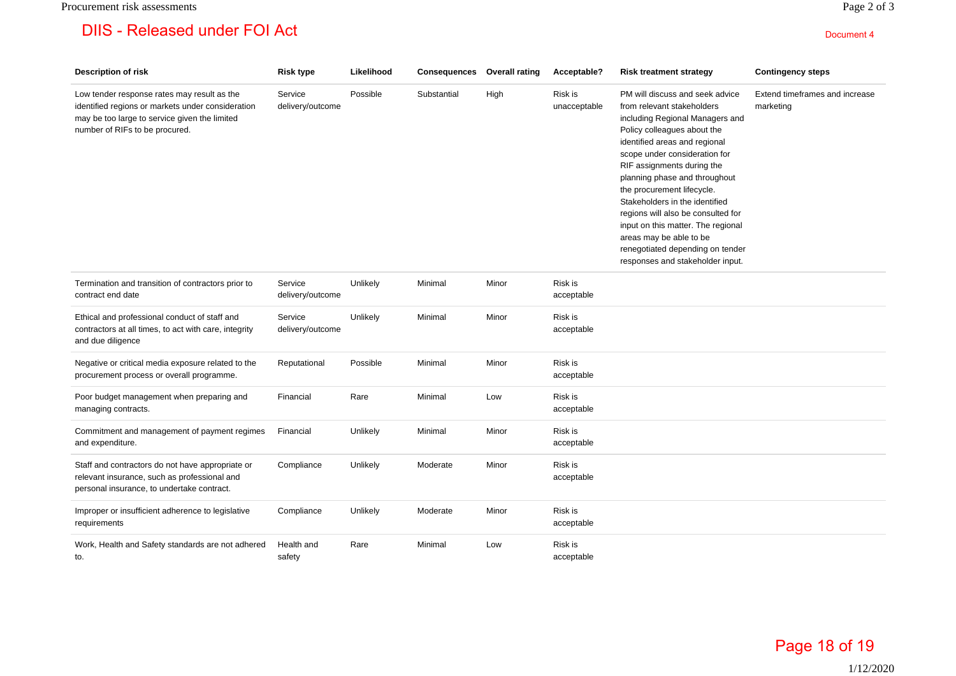| <b>Description of risk</b>                                                                                                                                                          | <b>Risk type</b>            | Likelihood | Consequences | <b>Overall rating</b> | Acceptable?             | <b>Risk treatment strategy</b>                                                                                                                                                                                                                                                                                                                                                                                                                                                                                  | <b>Contingency steps</b>                    |
|-------------------------------------------------------------------------------------------------------------------------------------------------------------------------------------|-----------------------------|------------|--------------|-----------------------|-------------------------|-----------------------------------------------------------------------------------------------------------------------------------------------------------------------------------------------------------------------------------------------------------------------------------------------------------------------------------------------------------------------------------------------------------------------------------------------------------------------------------------------------------------|---------------------------------------------|
| Low tender response rates may result as the<br>identified regions or markets under consideration<br>may be too large to service given the limited<br>number of RIFs to be procured. | Service<br>delivery/outcome | Possible   | Substantial  | High                  | Risk is<br>unacceptable | PM will discuss and seek advice<br>from relevant stakeholders<br>including Regional Managers and<br>Policy colleagues about the<br>identified areas and regional<br>scope under consideration for<br>RIF assignments during the<br>planning phase and throughout<br>the procurement lifecycle.<br>Stakeholders in the identified<br>regions will also be consulted for<br>input on this matter. The regional<br>areas may be able to be<br>renegotiated depending on tender<br>responses and stakeholder input. | Extend timeframes and increase<br>marketing |
| Termination and transition of contractors prior to<br>contract end date                                                                                                             | Service<br>delivery/outcome | Unlikely   | Minimal      | Minor                 | Risk is<br>acceptable   |                                                                                                                                                                                                                                                                                                                                                                                                                                                                                                                 |                                             |
| Ethical and professional conduct of staff and<br>contractors at all times, to act with care, integrity<br>and due diligence                                                         | Service<br>delivery/outcome | Unlikely   | Minimal      | Minor                 | Risk is<br>acceptable   |                                                                                                                                                                                                                                                                                                                                                                                                                                                                                                                 |                                             |
| Negative or critical media exposure related to the<br>procurement process or overall programme.                                                                                     | Reputational                | Possible   | Minimal      | Minor                 | Risk is<br>acceptable   |                                                                                                                                                                                                                                                                                                                                                                                                                                                                                                                 |                                             |
| Poor budget management when preparing and<br>managing contracts.                                                                                                                    | Financial                   | Rare       | Minimal      | Low                   | Risk is<br>acceptable   |                                                                                                                                                                                                                                                                                                                                                                                                                                                                                                                 |                                             |
| Commitment and management of payment regimes<br>and expenditure.                                                                                                                    | Financial                   | Unlikely   | Minimal      | Minor                 | Risk is<br>acceptable   |                                                                                                                                                                                                                                                                                                                                                                                                                                                                                                                 |                                             |
| Staff and contractors do not have appropriate or<br>relevant insurance, such as professional and<br>personal insurance, to undertake contract.                                      | Compliance                  | Unlikely   | Moderate     | Minor                 | Risk is<br>acceptable   |                                                                                                                                                                                                                                                                                                                                                                                                                                                                                                                 |                                             |
| Improper or insufficient adherence to legislative<br>requirements                                                                                                                   | Compliance                  | Unlikely   | Moderate     | Minor                 | Risk is<br>acceptable   |                                                                                                                                                                                                                                                                                                                                                                                                                                                                                                                 |                                             |
| Work, Health and Safety standards are not adhered<br>to.                                                                                                                            | Health and<br>safety        | Rare       | Minimal      | Low                   | Risk is<br>acceptable   |                                                                                                                                                                                                                                                                                                                                                                                                                                                                                                                 |                                             |